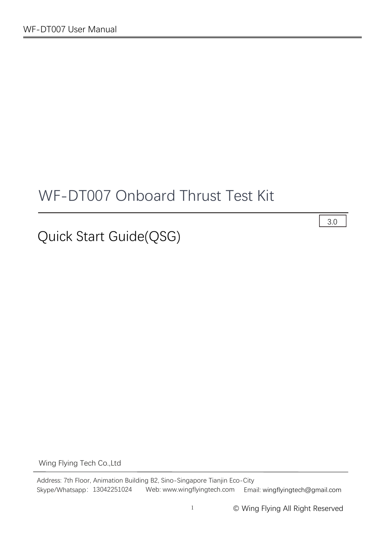# WF-DT007 Onboard Thrust Test Kit

# Quick Start Guide(QSG)

3.0

Wing Flying Tech Co.,Ltd

Address: 7th Floor, Animation Building B2, Sino-Singapore Tianjin Eco-City Skype/Whatsapp: 13042251024 Web: www.wingflyingtech.com Email: wingflyingtech@gmail.com

1 © Wing Flying All Right Reserved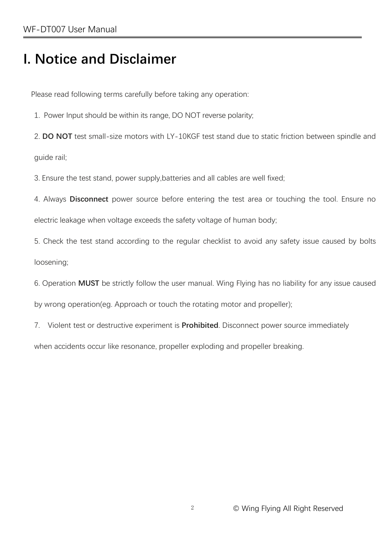# **I. Notice and Disclaimer**

Please read following terms carefully before taking any operation:

1. Power Input should be within its range, DO NOT reverse polarity;

2. **DO NOT** test small-size motors with LY-10KGF test stand due to static friction between spindle and guide rail;

3. Ensure the test stand, power supply,batteries and all cables are well fixed;

4. Always **Disconnect** power source before entering the test area or touching the tool. Ensure no electric leakage when voltage exceeds the safety voltage of human body;

5. Check the test stand according to the regular checklist to avoid any safety issue caused by bolts loosening;

6. Operation **MUST** be strictly follow the user manual. Wing Flying has no liability for any issue caused by wrong operation(eg. Approach or touch the rotating motor and propeller);

7. Violent test or destructive experiment is **Prohibited**. Disconnect power source immediately

when accidents occur like resonance, propeller exploding and propeller breaking.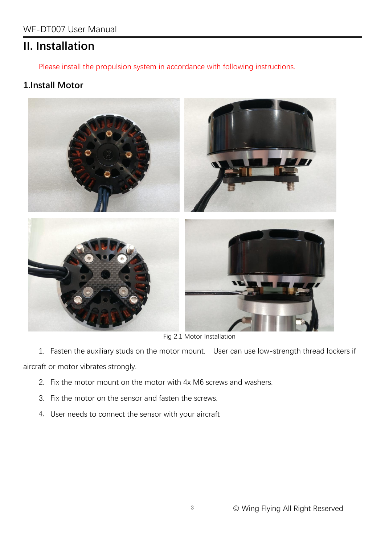## **II. Installation**

Please install the propulsion system in accordance with following instructions.

### **1.Install Motor**



Fig 2.1 Motor Installation

1. Fasten the auxiliary studs on the motor mount. User can use low-strength thread lockers if aircraft or motor vibrates strongly.

- 2. Fix the motor mount on the motor with 4x M6 screws and washers.
- 3. Fix the motor on the sensor and fasten the screws.
- 4. User needs to connect the sensor with your aircraft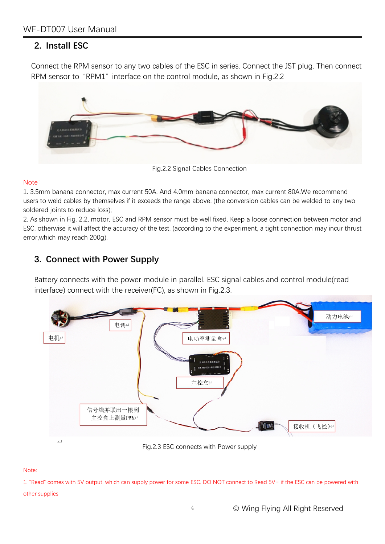### **2. Install ESC**

Connect the RPM sensor to any two cables of the ESC in series. Connect the JST plug. Then connect RPM sensor to "RPM1" interface on the control module, as shown in Fig.2.2



Fig.2.2 Signal Cables Connection

#### Note: when the contract of the contract of the contract of the contract of the contract of the contract of the contract of the contract of the contract of the contract of the contract of the contract of the contract of the

1. 3.5mm banana connector, max current 50A. And 4.0mm banana connector, max current 80A.We recommend users to weld cables by themselves if it exceeds the range above. (the conversion cables can be welded to any two soldered joints to reduce loss);

2. As shown in Fig. 2.2, motor, ESC and RPM sensor must be well fixed. Keep a loose connection between motor and ESC, otherwise it will affect the accuracy of the test. (according to the experiment, a tight connection may incur thrust error,which may reach 200g).

### **3. Connect with Power Supply**

Battery connects with the power module in parallel. ESC signal cables and control module(read interface) connect with the receiver(FC), as shown in Fig.2.3.



Fig.2.3 ESC connects with Power supply

#### Note:

1. "Read" comes with 5V output, which can supply power for some ESC. DO NOT connect to Read 5V+ ifthe ESC can be powered with other supplies